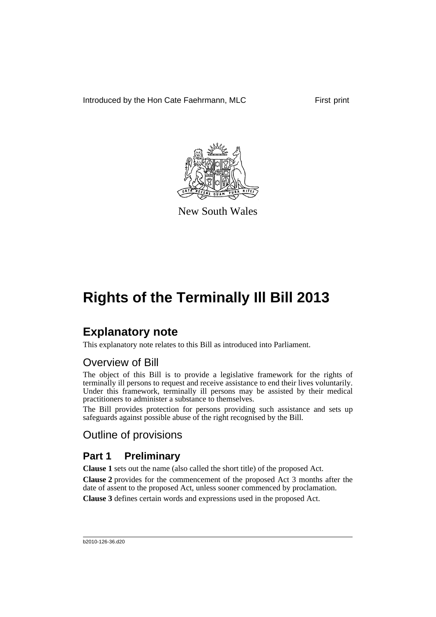Introduced by the Hon Cate Faehrmann, MLC First print



New South Wales

# **Rights of the Terminally Ill Bill 2013**

# **Explanatory note**

This explanatory note relates to this Bill as introduced into Parliament.

# Overview of Bill

The object of this Bill is to provide a legislative framework for the rights of terminally ill persons to request and receive assistance to end their lives voluntarily. Under this framework, terminally ill persons may be assisted by their medical practitioners to administer a substance to themselves.

The Bill provides protection for persons providing such assistance and sets up safeguards against possible abuse of the right recognised by the Bill.

# Outline of provisions

# **Part 1 Preliminary**

**Clause 1** sets out the name (also called the short title) of the proposed Act.

**Clause 2** provides for the commencement of the proposed Act 3 months after the date of assent to the proposed Act, unless sooner commenced by proclamation.

**Clause 3** defines certain words and expressions used in the proposed Act.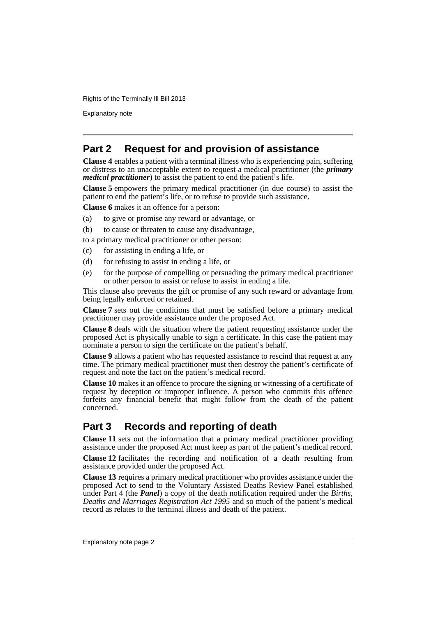Explanatory note

# **Part 2 Request for and provision of assistance**

**Clause 4** enables a patient with a terminal illness who is experiencing pain, suffering or distress to an unacceptable extent to request a medical practitioner (the *primary medical practitioner*) to assist the patient to end the patient's life.

**Clause 5** empowers the primary medical practitioner (in due course) to assist the patient to end the patient's life, or to refuse to provide such assistance.

**Clause 6** makes it an offence for a person:

- (a) to give or promise any reward or advantage, or
- (b) to cause or threaten to cause any disadvantage,
- to a primary medical practitioner or other person:
- (c) for assisting in ending a life, or
- (d) for refusing to assist in ending a life, or
- (e) for the purpose of compelling or persuading the primary medical practitioner or other person to assist or refuse to assist in ending a life.

This clause also prevents the gift or promise of any such reward or advantage from being legally enforced or retained.

**Clause 7** sets out the conditions that must be satisfied before a primary medical practitioner may provide assistance under the proposed Act.

**Clause 8** deals with the situation where the patient requesting assistance under the proposed Act is physically unable to sign a certificate. In this case the patient may nominate a person to sign the certificate on the patient's behalf.

**Clause 9** allows a patient who has requested assistance to rescind that request at any time. The primary medical practitioner must then destroy the patient's certificate of request and note the fact on the patient's medical record.

**Clause 10** makes it an offence to procure the signing or witnessing of a certificate of request by deception or improper influence. A person who commits this offence forfeits any financial benefit that might follow from the death of the patient concerned.

# **Part 3 Records and reporting of death**

**Clause 11** sets out the information that a primary medical practitioner providing assistance under the proposed Act must keep as part of the patient's medical record.

**Clause 12** facilitates the recording and notification of a death resulting from assistance provided under the proposed Act.

**Clause 13** requires a primary medical practitioner who provides assistance under the proposed Act to send to the Voluntary Assisted Deaths Review Panel established under Part 4 (the *Panel*) a copy of the death notification required under the *Births, Deaths and Marriages Registration Act 1995* and so much of the patient's medical record as relates to the terminal illness and death of the patient.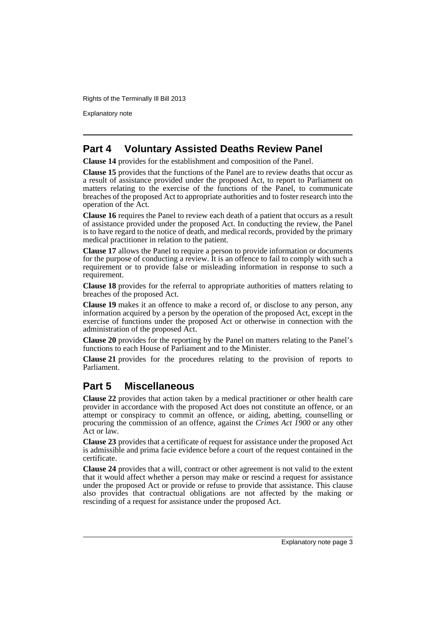Explanatory note

## **Part 4 Voluntary Assisted Deaths Review Panel**

**Clause 14** provides for the establishment and composition of the Panel.

**Clause 15** provides that the functions of the Panel are to review deaths that occur as a result of assistance provided under the proposed Act, to report to Parliament on matters relating to the exercise of the functions of the Panel, to communicate breaches of the proposed Act to appropriate authorities and to foster research into the operation of the Act.

**Clause 16** requires the Panel to review each death of a patient that occurs as a result of assistance provided under the proposed Act. In conducting the review, the Panel is to have regard to the notice of death, and medical records, provided by the primary medical practitioner in relation to the patient.

**Clause 17** allows the Panel to require a person to provide information or documents for the purpose of conducting a review. It is an offence to fail to comply with such a requirement or to provide false or misleading information in response to such a requirement.

**Clause 18** provides for the referral to appropriate authorities of matters relating to breaches of the proposed Act.

**Clause 19** makes it an offence to make a record of, or disclose to any person, any information acquired by a person by the operation of the proposed Act, except in the exercise of functions under the proposed Act or otherwise in connection with the administration of the proposed Act.

**Clause 20** provides for the reporting by the Panel on matters relating to the Panel's functions to each House of Parliament and to the Minister.

**Clause 21** provides for the procedures relating to the provision of reports to Parliament.

# **Part 5 Miscellaneous**

**Clause 22** provides that action taken by a medical practitioner or other health care provider in accordance with the proposed Act does not constitute an offence, or an attempt or conspiracy to commit an offence, or aiding, abetting, counselling or procuring the commission of an offence, against the *Crimes Act 1900* or any other Act or law.

**Clause 23** provides that a certificate of request for assistance under the proposed Act is admissible and prima facie evidence before a court of the request contained in the certificate.

**Clause 24** provides that a will, contract or other agreement is not valid to the extent that it would affect whether a person may make or rescind a request for assistance under the proposed Act or provide or refuse to provide that assistance. This clause also provides that contractual obligations are not affected by the making or rescinding of a request for assistance under the proposed Act.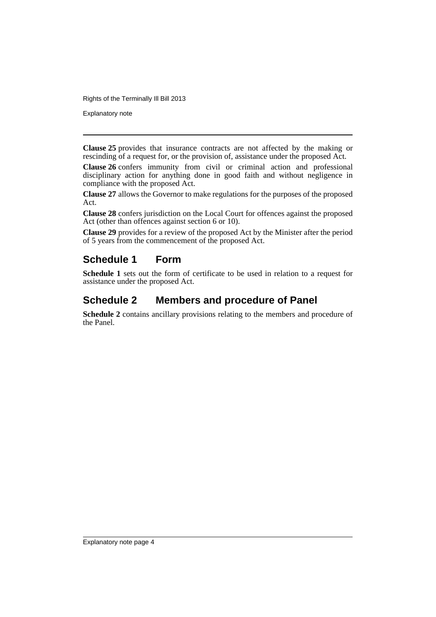Explanatory note

**Clause 25** provides that insurance contracts are not affected by the making or rescinding of a request for, or the provision of, assistance under the proposed Act.

**Clause 26** confers immunity from civil or criminal action and professional disciplinary action for anything done in good faith and without negligence in compliance with the proposed Act.

**Clause 27** allows the Governor to make regulations for the purposes of the proposed Act.

**Clause 28** confers jurisdiction on the Local Court for offences against the proposed Act (other than offences against section 6 or 10).

**Clause 29** provides for a review of the proposed Act by the Minister after the period of 5 years from the commencement of the proposed Act.

# **Schedule 1 Form**

**Schedule 1** sets out the form of certificate to be used in relation to a request for assistance under the proposed Act.

# **Schedule 2 Members and procedure of Panel**

**Schedule 2** contains ancillary provisions relating to the members and procedure of the Panel.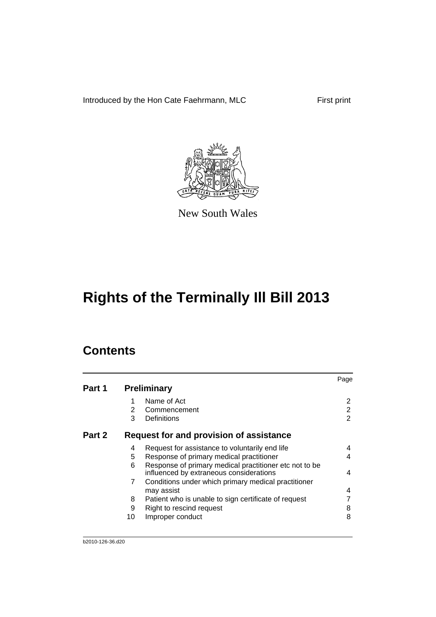Introduced by the Hon Cate Faehrmann, MLC First print



New South Wales

# **Rights of the Terminally Ill Bill 2013**

# **Contents**

|        |    |                                                                                                   | Page |
|--------|----|---------------------------------------------------------------------------------------------------|------|
| Part 1 |    | <b>Preliminary</b>                                                                                |      |
|        |    | Name of Act                                                                                       | 2    |
|        | 2  | Commencement                                                                                      | 2    |
|        | 3  | Definitions                                                                                       | 2    |
| Part 2 |    | Request for and provision of assistance                                                           |      |
|        | 4  | Request for assistance to voluntarily end life                                                    | 4    |
|        | 5  | Response of primary medical practitioner                                                          | 4    |
|        | 6  | Response of primary medical practitioner etc not to be<br>influenced by extraneous considerations | 4    |
|        | 7  | Conditions under which primary medical practitioner                                               |      |
|        |    | may assist                                                                                        | 4    |
|        | 8  | Patient who is unable to sign certificate of request                                              |      |
|        | 9  | Right to rescind request                                                                          | 8    |
|        | 10 | Improper conduct                                                                                  | 8    |
|        |    |                                                                                                   |      |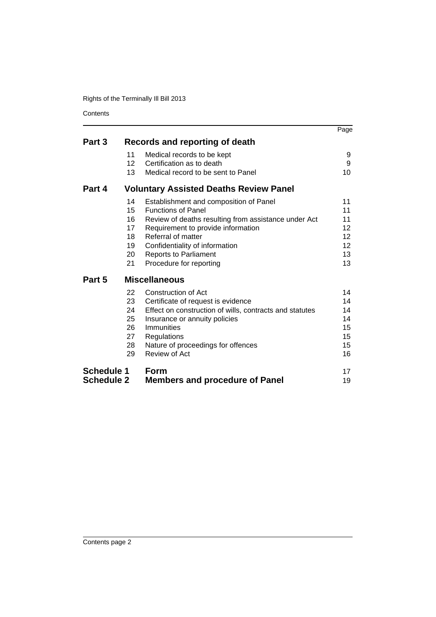**Contents** 

|                   |                 |                                                         | Page            |
|-------------------|-----------------|---------------------------------------------------------|-----------------|
| Part 3            |                 | Records and reporting of death                          |                 |
|                   | 11              | Medical records to be kept                              | 9               |
|                   | 12 <sup>2</sup> | Certification as to death                               | 9               |
|                   | 13              | Medical record to be sent to Panel                      | 10              |
| Part 4            |                 | <b>Voluntary Assisted Deaths Review Panel</b>           |                 |
|                   | 14              | Establishment and composition of Panel                  | 11              |
|                   | 15              | <b>Functions of Panel</b>                               | 11              |
|                   | 16              | Review of deaths resulting from assistance under Act    | 11              |
|                   | 17              | Requirement to provide information                      | 12              |
|                   | 18              | Referral of matter                                      | 12              |
|                   | 19              | Confidentiality of information                          | 12 <sup>2</sup> |
|                   | 20              | <b>Reports to Parliament</b>                            | 13              |
|                   | 21              | Procedure for reporting                                 | 13              |
| Part 5            |                 | <b>Miscellaneous</b>                                    |                 |
|                   | 22              | Construction of Act                                     | 14              |
|                   | 23              | Certificate of request is evidence                      | 14              |
|                   | 24              | Effect on construction of wills, contracts and statutes | 14              |
|                   | 25              | Insurance or annuity policies                           | 14              |
|                   | 26              | Immunities                                              | 15              |
|                   | 27              | Regulations                                             | 15              |
|                   | 28              | Nature of proceedings for offences                      | 15              |
|                   | 29              | Review of Act                                           | 16              |
| <b>Schedule 1</b> |                 | Form                                                    | 17              |
| <b>Schedule 2</b> |                 | <b>Members and procedure of Panel</b>                   | 19              |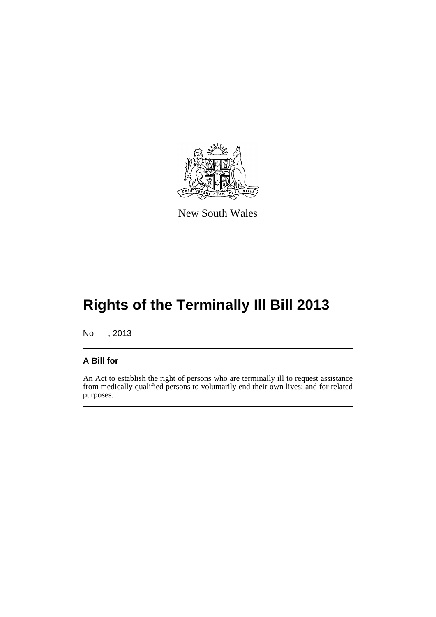

New South Wales

# **Rights of the Terminally Ill Bill 2013**

No , 2013

### **A Bill for**

An Act to establish the right of persons who are terminally ill to request assistance from medically qualified persons to voluntarily end their own lives; and for related purposes.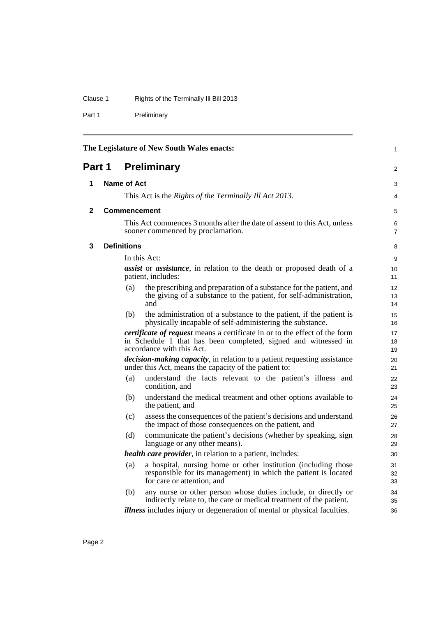## Clause 1 Rights of the Terminally Ill Bill 2013

Part 1 Preliminary

<span id="page-7-3"></span><span id="page-7-2"></span><span id="page-7-1"></span><span id="page-7-0"></span>

| The Legislature of New South Wales enacts:<br>1 |                                                                                                                                         |                    |                                                                                                                                                                                  |                     |  |
|-------------------------------------------------|-----------------------------------------------------------------------------------------------------------------------------------------|--------------------|----------------------------------------------------------------------------------------------------------------------------------------------------------------------------------|---------------------|--|
| <b>Preliminary</b><br>Part 1                    |                                                                                                                                         |                    | 2                                                                                                                                                                                |                     |  |
| 1                                               | <b>Name of Act</b>                                                                                                                      |                    |                                                                                                                                                                                  | 3                   |  |
|                                                 |                                                                                                                                         |                    | This Act is the Rights of the Terminally Ill Act 2013.                                                                                                                           | 4                   |  |
| 2                                               |                                                                                                                                         |                    | <b>Commencement</b>                                                                                                                                                              | 5                   |  |
|                                                 |                                                                                                                                         |                    | This Act commences 3 months after the date of assent to this Act, unless<br>sooner commenced by proclamation.                                                                    | 6<br>$\overline{7}$ |  |
| 3                                               |                                                                                                                                         | <b>Definitions</b> |                                                                                                                                                                                  | 8                   |  |
|                                                 |                                                                                                                                         |                    | In this Act:                                                                                                                                                                     | 9                   |  |
|                                                 |                                                                                                                                         |                    | <i>assist</i> or <i>assistance</i> , in relation to the death or proposed death of a<br>patient, includes:                                                                       | 10<br>11            |  |
|                                                 |                                                                                                                                         | (a)                | the prescribing and preparation of a substance for the patient, and<br>the giving of a substance to the patient, for self-administration,<br>and                                 | 12<br>13<br>14      |  |
|                                                 | (b)<br>the administration of a substance to the patient, if the patient is<br>physically incapable of self-administering the substance. |                    |                                                                                                                                                                                  |                     |  |
|                                                 |                                                                                                                                         |                    | <i>certificate of request</i> means a certificate in or to the effect of the form<br>in Schedule 1 that has been completed, signed and witnessed in<br>accordance with this Act. | 17<br>18<br>19      |  |
|                                                 |                                                                                                                                         |                    | <i>decision-making capacity</i> , in relation to a patient requesting assistance<br>under this Act, means the capacity of the patient to:                                        | 20<br>21            |  |
|                                                 |                                                                                                                                         | (a)                | understand the facts relevant to the patient's illness and<br>condition, and                                                                                                     | 22<br>23            |  |
|                                                 |                                                                                                                                         | (b)                | understand the medical treatment and other options available to<br>the patient, and                                                                                              | 24<br>25            |  |
|                                                 |                                                                                                                                         | (c)                | assess the consequences of the patient's decisions and understand<br>the impact of those consequences on the patient, and                                                        | 26<br>27            |  |
|                                                 |                                                                                                                                         | (d)                | communicate the patient's decisions (whether by speaking, sign<br>language or any other means).                                                                                  | 28<br>29            |  |
|                                                 |                                                                                                                                         |                    | <i>health care provider</i> , in relation to a patient, includes:                                                                                                                | 30                  |  |
|                                                 |                                                                                                                                         | (a)                | a hospital, nursing home or other institution (including those<br>responsible for its management) in which the patient is located<br>for care or attention, and                  | 31<br>32<br>33      |  |
|                                                 |                                                                                                                                         | (b)                | any nurse or other person whose duties include, or directly or<br>indirectly relate to, the care or medical treatment of the patient.                                            | 34<br>35            |  |
|                                                 |                                                                                                                                         |                    | <i>illness</i> includes injury or degeneration of mental or physical faculties.                                                                                                  | 36                  |  |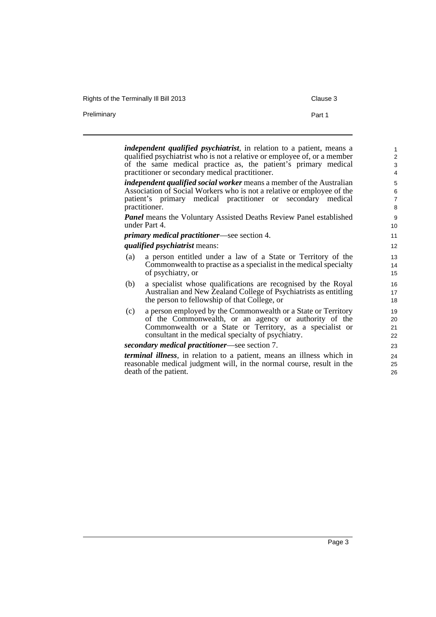Rights of the Terminally III Bill 2013 Clause 3

Preliminary **Preliminary Part 1** 

*independent qualified psychiatrist*, in relation to a patient, means a qualified psychiatrist who is not a relative or employee of, or a member of the same medical practice as, the patient's primary medical practitioner or secondary medical practitioner.

*independent qualified social worker* means a member of the Australian Association of Social Workers who is not a relative or employee of the patient's primary medical practitioner or secondary medical practitioner.

*Panel* means the Voluntary Assisted Deaths Review Panel established under Part 4.

*primary medical practitioner*—see section 4.

#### *qualified psychiatrist* means:

- (a) a person entitled under a law of a State or Territory of the Commonwealth to practise as a specialist in the medical specialty of psychiatry, or
- (b) a specialist whose qualifications are recognised by the Royal Australian and New Zealand College of Psychiatrists as entitling the person to fellowship of that College, or
- (c) a person employed by the Commonwealth or a State or Territory of the Commonwealth, or an agency or authority of the Commonwealth or a State or Territory, as a specialist or consultant in the medical specialty of psychiatry.

#### *secondary medical practitioner*—see section 7.

*terminal illness*, in relation to a patient, means an illness which in reasonable medical judgment will, in the normal course, result in the death of the patient.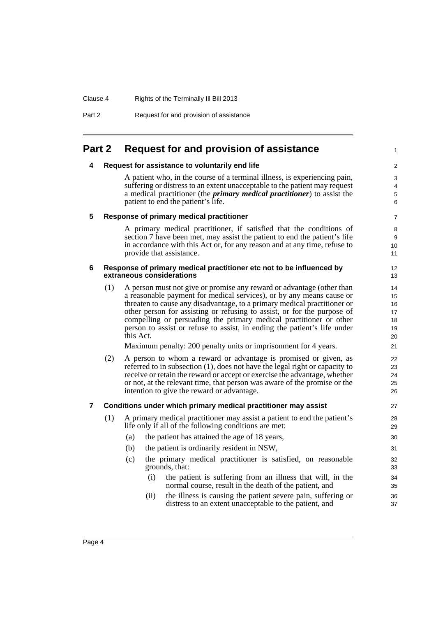#### Clause 4 Rights of the Terminally Ill Bill 2013

Part 2 Request for and provision of assistance

## <span id="page-9-1"></span><span id="page-9-0"></span>**Part 2 Request for and provision of assistance**

#### **4 Request for assistance to voluntarily end life**

A patient who, in the course of a terminal illness, is experiencing pain, suffering or distress to an extent unacceptable to the patient may request a medical practitioner (the *primary medical practitioner*) to assist the patient to end the patient's life.

1

#### <span id="page-9-2"></span>**5 Response of primary medical practitioner**

A primary medical practitioner, if satisfied that the conditions of section 7 have been met, may assist the patient to end the patient's life in accordance with this Act or, for any reason and at any time, refuse to provide that assistance.

#### <span id="page-9-3"></span>**6 Response of primary medical practitioner etc not to be influenced by extraneous considerations**

(1) A person must not give or promise any reward or advantage (other than a reasonable payment for medical services), or by any means cause or threaten to cause any disadvantage, to a primary medical practitioner or other person for assisting or refusing to assist, or for the purpose of compelling or persuading the primary medical practitioner or other person to assist or refuse to assist, in ending the patient's life under this Act.

Maximum penalty: 200 penalty units or imprisonment for 4 years.

(2) A person to whom a reward or advantage is promised or given, as referred to in subsection (1), does not have the legal right or capacity to receive or retain the reward or accept or exercise the advantage, whether or not, at the relevant time, that person was aware of the promise or the intention to give the reward or advantage.

#### <span id="page-9-4"></span>**7 Conditions under which primary medical practitioner may assist**

- (1) A primary medical practitioner may assist a patient to end the patient's life only if all of the following conditions are met:
	- (a) the patient has attained the age of 18 years,
	- (b) the patient is ordinarily resident in NSW,
	- (c) the primary medical practitioner is satisfied, on reasonable grounds, that:
		- (i) the patient is suffering from an illness that will, in the normal course, result in the death of the patient, and
		- (ii) the illness is causing the patient severe pain, suffering or distress to an extent unacceptable to the patient, and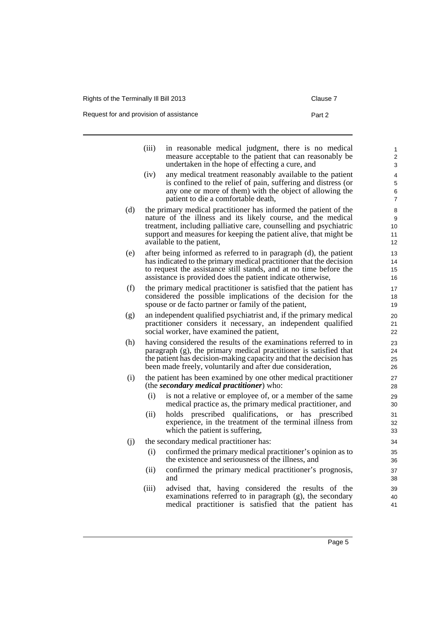Request for and provision of assistance **Part 2** Part 2

|     | (iii) | in reasonable medical judgment, there is no medical<br>measure acceptable to the patient that can reasonably be                         | 1<br>2   |
|-----|-------|-----------------------------------------------------------------------------------------------------------------------------------------|----------|
|     |       | undertaken in the hope of effecting a cure, and                                                                                         | 3        |
|     | (iv)  | any medical treatment reasonably available to the patient<br>is confined to the relief of pain, suffering and distress (or              | 4<br>5   |
|     |       | any one or more of them) with the object of allowing the                                                                                | 6        |
|     |       | patient to die a comfortable death,                                                                                                     | 7        |
| (d) |       | the primary medical practitioner has informed the patient of the                                                                        | 8        |
|     |       | nature of the illness and its likely course, and the medical                                                                            | 9        |
|     |       | treatment, including palliative care, counselling and psychiatric<br>support and measures for keeping the patient alive, that might be  | 10<br>11 |
|     |       | available to the patient,                                                                                                               | 12       |
| (e) |       | after being informed as referred to in paragraph (d), the patient                                                                       | 13       |
|     |       | has indicated to the primary medical practitioner that the decision                                                                     | 14       |
|     |       | to request the assistance still stands, and at no time before the                                                                       | 15       |
|     |       | assistance is provided does the patient indicate otherwise,                                                                             | 16       |
| (f) |       | the primary medical practitioner is satisfied that the patient has<br>considered the possible implications of the decision for the      | 17<br>18 |
|     |       | spouse or de facto partner or family of the patient,                                                                                    | 19       |
| (g) |       | an independent qualified psychiatrist and, if the primary medical                                                                       | 20       |
|     |       | practitioner considers it necessary, an independent qualified                                                                           | 21       |
|     |       | social worker, have examined the patient,                                                                                               | 22       |
| (h) |       | having considered the results of the examinations referred to in                                                                        | 23       |
|     |       | paragraph (g), the primary medical practitioner is satisfied that<br>the patient has decision-making capacity and that the decision has | 24<br>25 |
|     |       | been made freely, voluntarily and after due consideration,                                                                              | 26       |
| (i) |       | the patient has been examined by one other medical practitioner                                                                         | 27       |
|     |       | (the <i>secondary medical practitioner</i> ) who:                                                                                       | 28       |
|     | (i)   | is not a relative or employee of, or a member of the same                                                                               | 29       |
|     |       | medical practice as, the primary medical practitioner, and                                                                              | 30       |
|     | (ii)  | holds prescribed qualifications, or has prescribed                                                                                      | 31       |
|     |       | experience, in the treatment of the terminal illness from<br>which the patient is suffering,                                            | 32<br>33 |
| (j) |       | the secondary medical practitioner has:                                                                                                 | 34       |
|     | (i)   | confirmed the primary medical practitioner's opinion as to                                                                              | 35       |
|     |       | the existence and seriousness of the illness, and                                                                                       | 36       |
|     | (ii)  | confirmed the primary medical practitioner's prognosis,                                                                                 | 37       |
|     |       | and                                                                                                                                     | 38       |
|     | (iii) | advised that, having considered the results of the                                                                                      | 39       |
|     |       | examinations referred to in paragraph $(g)$ , the secondary<br>medical practitioner is satisfied that the patient has                   | 40<br>41 |
|     |       |                                                                                                                                         |          |
|     |       |                                                                                                                                         |          |
|     |       |                                                                                                                                         |          |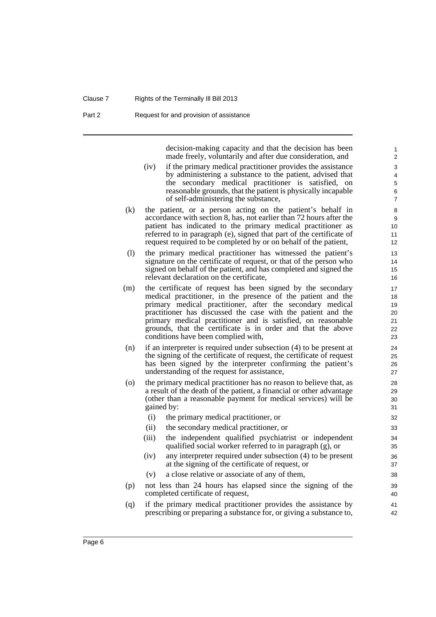#### Clause 7 Rights of the Terminally Ill Bill 2013

Part 2 Request for and provision of assistance

decision-making capacity and that the decision has been made freely, voluntarily and after due consideration, and

- (iv) if the primary medical practitioner provides the assistance by administering a substance to the patient, advised that the secondary medical practitioner is satisfied, on reasonable grounds, that the patient is physically incapable of self-administering the substance,
- (k) the patient, or a person acting on the patient's behalf in accordance with section 8, has, not earlier than 72 hours after the patient has indicated to the primary medical practitioner as referred to in paragraph (e), signed that part of the certificate of request required to be completed by or on behalf of the patient,
- (l) the primary medical practitioner has witnessed the patient's signature on the certificate of request, or that of the person who signed on behalf of the patient, and has completed and signed the relevant declaration on the certificate,
- (m) the certificate of request has been signed by the secondary medical practitioner, in the presence of the patient and the primary medical practitioner, after the secondary medical practitioner has discussed the case with the patient and the primary medical practitioner and is satisfied, on reasonable grounds, that the certificate is in order and that the above conditions have been complied with,
- (n) if an interpreter is required under subsection (4) to be present at the signing of the certificate of request, the certificate of request has been signed by the interpreter confirming the patient's understanding of the request for assistance,
- (o) the primary medical practitioner has no reason to believe that, as a result of the death of the patient, a financial or other advantage (other than a reasonable payment for medical services) will be gained by:
	- (i) the primary medical practitioner, or
	- (ii) the secondary medical practitioner, or
	- (iii) the independent qualified psychiatrist or independent qualified social worker referred to in paragraph (g), or
	- (iv) any interpreter required under subsection (4) to be present at the signing of the certificate of request, or
	- (v) a close relative or associate of any of them,
- (p) not less than 24 hours has elapsed since the signing of the completed certificate of request,
- (q) if the primary medical practitioner provides the assistance by prescribing or preparing a substance for, or giving a substance to,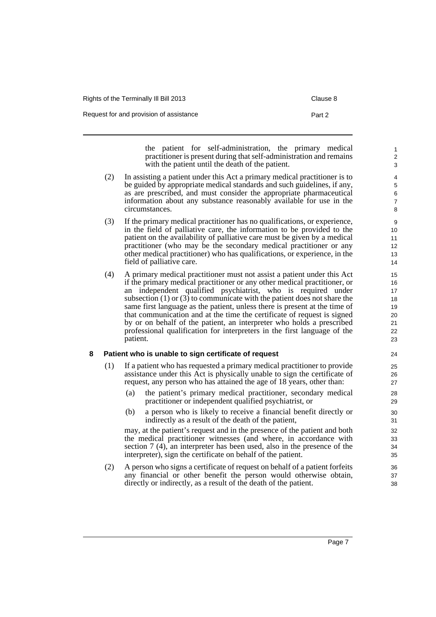| Rights of the Terminally III Bill 2013  | Clause 8 |
|-----------------------------------------|----------|
| Request for and provision of assistance | Part 2   |

the patient for self-administration, the primary medical practitioner is present during that self-administration and remains with the patient until the death of the patient.

- (2) In assisting a patient under this Act a primary medical practitioner is to be guided by appropriate medical standards and such guidelines, if any, as are prescribed, and must consider the appropriate pharmaceutical information about any substance reasonably available for use in the circumstances.
- (3) If the primary medical practitioner has no qualifications, or experience, in the field of palliative care, the information to be provided to the patient on the availability of palliative care must be given by a medical practitioner (who may be the secondary medical practitioner or any other medical practitioner) who has qualifications, or experience, in the field of palliative care.
- (4) A primary medical practitioner must not assist a patient under this Act if the primary medical practitioner or any other medical practitioner, or an independent qualified psychiatrist, who is required under subsection (1) or (3) to communicate with the patient does not share the same first language as the patient, unless there is present at the time of that communication and at the time the certificate of request is signed by or on behalf of the patient, an interpreter who holds a prescribed professional qualification for interpreters in the first language of the patient.

#### <span id="page-12-0"></span>**8 Patient who is unable to sign certificate of request**

- (1) If a patient who has requested a primary medical practitioner to provide assistance under this Act is physically unable to sign the certificate of request, any person who has attained the age of 18 years, other than:
	- (a) the patient's primary medical practitioner, secondary medical practitioner or independent qualified psychiatrist, or
	- (b) a person who is likely to receive a financial benefit directly or indirectly as a result of the death of the patient,

may, at the patient's request and in the presence of the patient and both the medical practitioner witnesses (and where, in accordance with section 7 (4), an interpreter has been used, also in the presence of the interpreter), sign the certificate on behalf of the patient.

(2) A person who signs a certificate of request on behalf of a patient forfeits any financial or other benefit the person would otherwise obtain, directly or indirectly, as a result of the death of the patient.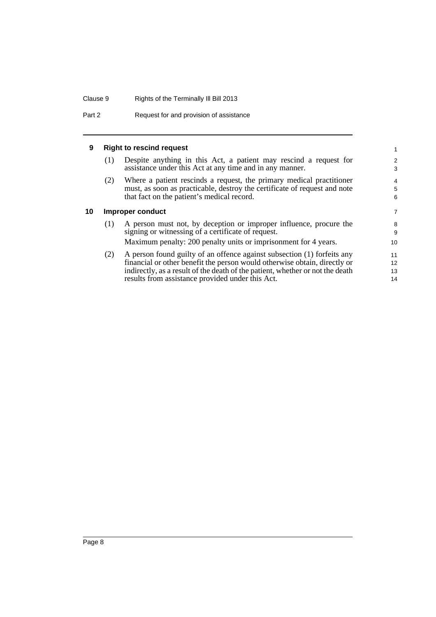#### Clause 9 Rights of the Terminally Ill Bill 2013

Part 2 Request for and provision of assistance

#### <span id="page-13-0"></span>**9 Right to rescind request**

(1) Despite anything in this Act, a patient may rescind a request for assistance under this Act at any time and in any manner.

(2) Where a patient rescinds a request, the primary medical practitioner must, as soon as practicable, destroy the certificate of request and note that fact on the patient's medical record.

#### <span id="page-13-1"></span>**10 Improper conduct**

| (1) | A person must not, by deception or improper influence, procure the |
|-----|--------------------------------------------------------------------|
|     | signing or witnessing of a certificate of request.                 |
|     | Maximum penalty: 200 penalty units or imprisonment for 4 years.    |

(2) A person found guilty of an offence against subsection (1) forfeits any financial or other benefit the person would otherwise obtain, directly or indirectly, as a result of the death of the patient, whether or not the death results from assistance provided under this Act.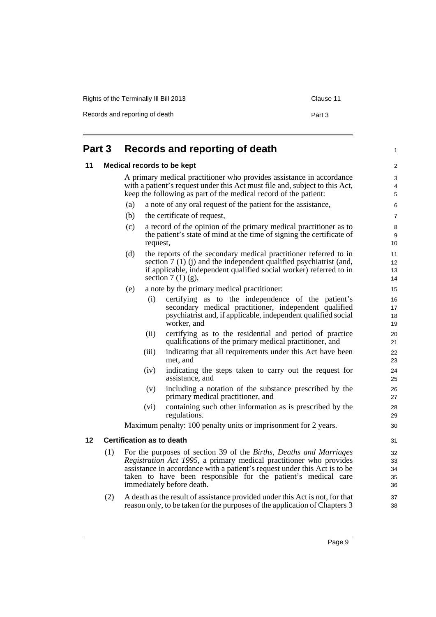| Rights of the Terminally III Bill 2013 | Clause 11 |
|----------------------------------------|-----------|
| Records and reporting of death         | Part 3    |

<span id="page-14-1"></span><span id="page-14-0"></span>

|    | Part 3 |     | Records and reporting of death |                                                                                                                                                                                                                                                                                                                                    |                            |
|----|--------|-----|--------------------------------|------------------------------------------------------------------------------------------------------------------------------------------------------------------------------------------------------------------------------------------------------------------------------------------------------------------------------------|----------------------------|
| 11 |        |     |                                | <b>Medical records to be kept</b>                                                                                                                                                                                                                                                                                                  | 2                          |
|    |        |     |                                | A primary medical practitioner who provides assistance in accordance<br>with a patient's request under this Act must file and, subject to this Act,<br>keep the following as part of the medical record of the patient:                                                                                                            | 3<br>4<br>5                |
|    |        | (a) |                                | a note of any oral request of the patient for the assistance,                                                                                                                                                                                                                                                                      | $\,6$                      |
|    |        | (b) |                                | the certificate of request,                                                                                                                                                                                                                                                                                                        | 7                          |
|    |        | (c) | request,                       | a record of the opinion of the primary medical practitioner as to<br>the patient's state of mind at the time of signing the certificate of                                                                                                                                                                                         | $\,$ 8 $\,$<br>9<br>10     |
|    |        | (d) |                                | the reports of the secondary medical practitioner referred to in<br>section $7(1)(i)$ and the independent qualified psychiatrist (and,<br>if applicable, independent qualified social worker) referred to in<br>section $7(1)(g)$ ,                                                                                                | 11<br>12<br>13<br>14       |
|    |        | (e) |                                | a note by the primary medical practitioner:                                                                                                                                                                                                                                                                                        | 15                         |
|    |        |     | (i)                            | certifying as to the independence of the patient's<br>secondary medical practitioner, independent qualified<br>psychiatrist and, if applicable, independent qualified social<br>worker, and                                                                                                                                        | 16<br>17<br>18<br>19       |
|    |        |     | (ii)                           | certifying as to the residential and period of practice<br>qualifications of the primary medical practitioner, and                                                                                                                                                                                                                 | 20<br>21                   |
|    |        |     | (iii)                          | indicating that all requirements under this Act have been<br>met, and                                                                                                                                                                                                                                                              | 22<br>23                   |
|    |        |     | (iv)                           | indicating the steps taken to carry out the request for<br>assistance, and                                                                                                                                                                                                                                                         | 24<br>25                   |
|    |        |     | (v)                            | including a notation of the substance prescribed by the<br>primary medical practitioner, and                                                                                                                                                                                                                                       | 26<br>27                   |
|    |        |     | (vi)                           | containing such other information as is prescribed by the<br>regulations.                                                                                                                                                                                                                                                          | 28<br>29                   |
|    |        |     |                                | Maximum penalty: 100 penalty units or imprisonment for 2 years.                                                                                                                                                                                                                                                                    | 30                         |
| 12 |        |     |                                | <b>Certification as to death</b>                                                                                                                                                                                                                                                                                                   | 31                         |
|    | (1)    |     |                                | For the purposes of section 39 of the <i>Births</i> , <i>Deaths and Marriages</i><br>Registration Act 1995, a primary medical practitioner who provides<br>assistance in accordance with a patient's request under this Act is to be<br>taken to have been responsible for the patient's medical care<br>immediately before death. | 32<br>33<br>34<br>35<br>36 |
|    | (2)    |     |                                | A death as the result of assistance provided under this Act is not, for that                                                                                                                                                                                                                                                       | 37                         |

<span id="page-14-2"></span>reason only, to be taken for the purposes of the application of Chapters 3

38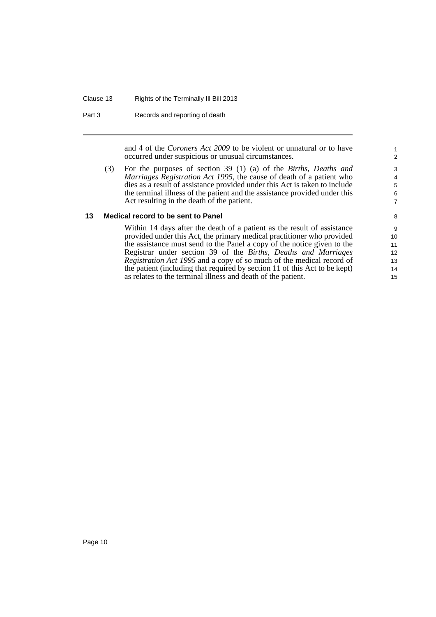#### Clause 13 Rights of the Terminally Ill Bill 2013

Part 3 Records and reporting of death

and 4 of the *Coroners Act 2009* to be violent or unnatural or to have occurred under suspicious or unusual circumstances.

(3) For the purposes of section 39 (1) (a) of the *Births, Deaths and Marriages Registration Act 1995*, the cause of death of a patient who dies as a result of assistance provided under this Act is taken to include the terminal illness of the patient and the assistance provided under this Act resulting in the death of the patient.

#### <span id="page-15-0"></span>**13 Medical record to be sent to Panel**

Within 14 days after the death of a patient as the result of assistance provided under this Act, the primary medical practitioner who provided the assistance must send to the Panel a copy of the notice given to the Registrar under section 39 of the *Births, Deaths and Marriages Registration Act 1995* and a copy of so much of the medical record of the patient (including that required by section 11 of this Act to be kept) as relates to the terminal illness and death of the patient.

14 15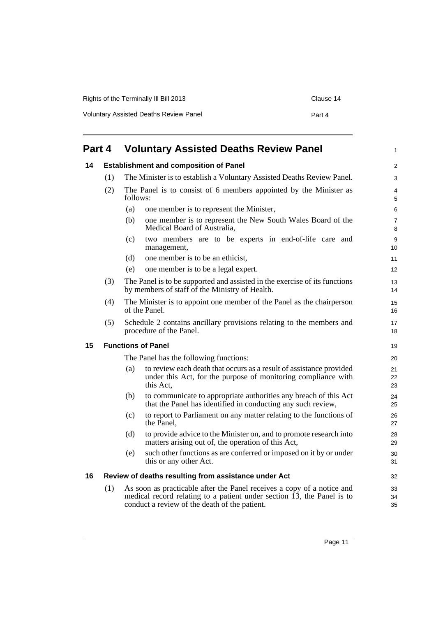| Rights of the Terminally III Bill 2013        | Clause 14 |
|-----------------------------------------------|-----------|
| <b>Voluntary Assisted Deaths Review Panel</b> | Part 4    |

<span id="page-16-3"></span><span id="page-16-2"></span><span id="page-16-1"></span><span id="page-16-0"></span>

| Part 4 |     | <b>Voluntary Assisted Deaths Review Panel</b>                          |                                                                                                                                                                                                                 |                     |
|--------|-----|------------------------------------------------------------------------|-----------------------------------------------------------------------------------------------------------------------------------------------------------------------------------------------------------------|---------------------|
| 14     |     | <b>Establishment and composition of Panel</b>                          |                                                                                                                                                                                                                 |                     |
|        | (1) | The Minister is to establish a Voluntary Assisted Deaths Review Panel. |                                                                                                                                                                                                                 |                     |
|        | (2) | follows:                                                               | The Panel is to consist of 6 members appointed by the Minister as                                                                                                                                               | 4<br>5              |
|        |     | (a)                                                                    | one member is to represent the Minister,                                                                                                                                                                        | 6                   |
|        |     | (b)                                                                    | one member is to represent the New South Wales Board of the<br>Medical Board of Australia,                                                                                                                      | $\overline{7}$<br>8 |
|        |     | (c)                                                                    | two members are to be experts in end-of-life care and<br>management,                                                                                                                                            | 9<br>10             |
|        |     | (d)                                                                    | one member is to be an ethicist,                                                                                                                                                                                | 11                  |
|        |     | (e)                                                                    | one member is to be a legal expert.                                                                                                                                                                             | 12                  |
|        | (3) |                                                                        | The Panel is to be supported and assisted in the exercise of its functions<br>by members of staff of the Ministry of Health.                                                                                    | 13<br>14            |
|        | (4) |                                                                        | The Minister is to appoint one member of the Panel as the chairperson<br>of the Panel.                                                                                                                          | 15<br>16            |
|        | (5) |                                                                        | Schedule 2 contains ancillary provisions relating to the members and<br>procedure of the Panel.                                                                                                                 | 17<br>18            |
| 15     |     |                                                                        | <b>Functions of Panel</b>                                                                                                                                                                                       | 19                  |
|        |     |                                                                        | The Panel has the following functions:                                                                                                                                                                          | 20                  |
|        |     | (a)                                                                    | to review each death that occurs as a result of assistance provided<br>under this Act, for the purpose of monitoring compliance with<br>this Act.                                                               | 21<br>22<br>23      |
|        |     | (b)                                                                    | to communicate to appropriate authorities any breach of this Act<br>that the Panel has identified in conducting any such review,                                                                                | 24<br>25            |
|        |     | (c)                                                                    | to report to Parliament on any matter relating to the functions of<br>the Panel.                                                                                                                                | 26<br>27            |
|        |     | (d)                                                                    | to provide advice to the Minister on, and to promote research into<br>matters arising out of, the operation of this Act,                                                                                        | 28<br>29            |
|        |     | (e)                                                                    | such other functions as are conferred or imposed on it by or under<br>this or any other Act.                                                                                                                    | 30<br>31            |
| 16     |     |                                                                        | Review of deaths resulting from assistance under Act                                                                                                                                                            | 32                  |
|        | (1) |                                                                        | As soon as practicable after the Panel receives a copy of a notice and<br>medical record relating to a patient under section $\overline{13}$ , the Panel is to<br>conduct a review of the death of the patient. | 33<br>34<br>35      |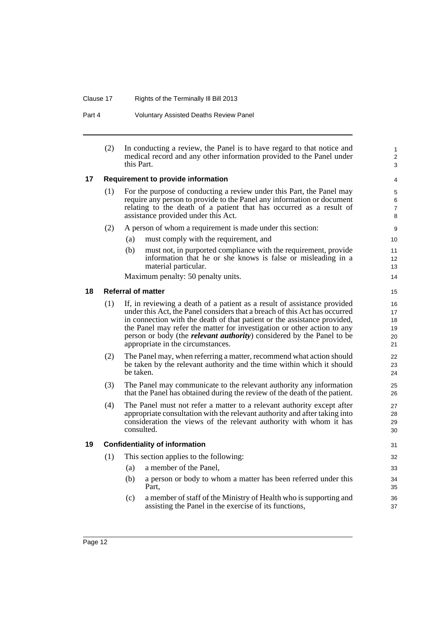#### Clause 17 Rights of the Terminally Ill Bill 2013

Part 4 Voluntary Assisted Deaths Review Panel

| (2) | In conducting a review, the Panel is to have regard to that notice and |
|-----|------------------------------------------------------------------------|
|     | medical record and any other information provided to the Panel under   |
|     | this Part.                                                             |

#### <span id="page-17-0"></span>**17 Requirement to provide information**

| (1) | For the purpose of conducting a review under this Part, the Panel may  |
|-----|------------------------------------------------------------------------|
|     | require any person to provide to the Panel any information or document |
|     | relating to the death of a patient that has occurred as a result of    |
|     | assistance provided under this Act.                                    |

- (2) A person of whom a requirement is made under this section:
	- (a) must comply with the requirement, and
	- (b) must not, in purported compliance with the requirement, provide information that he or she knows is false or misleading in a material particular.

Maximum penalty: 50 penalty units.

#### <span id="page-17-1"></span>**18 Referral of matter**

- (1) If, in reviewing a death of a patient as a result of assistance provided under this Act, the Panel considers that a breach of this Act has occurred in connection with the death of that patient or the assistance provided, the Panel may refer the matter for investigation or other action to any person or body (the *relevant authority*) considered by the Panel to be appropriate in the circumstances.
- (2) The Panel may, when referring a matter, recommend what action should be taken by the relevant authority and the time within which it should be taken.
- (3) The Panel may communicate to the relevant authority any information that the Panel has obtained during the review of the death of the patient.
- (4) The Panel must not refer a matter to a relevant authority except after appropriate consultation with the relevant authority and after taking into consideration the views of the relevant authority with whom it has consulted.

#### <span id="page-17-2"></span>**19 Confidentiality of information**

- (1) This section applies to the following:
	- (a) a member of the Panel,
	- (b) a person or body to whom a matter has been referred under this Part,
	- (c) a member of staff of the Ministry of Health who is supporting and assisting the Panel in the exercise of its functions,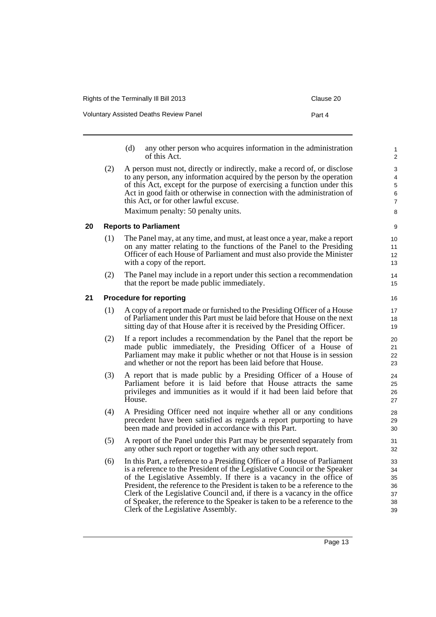Voluntary Assisted Deaths Review Panel **Part 4** Part 4

- (d) any other person who acquires information in the administration of this Act.
- (2) A person must not, directly or indirectly, make a record of, or disclose to any person, any information acquired by the person by the operation of this Act, except for the purpose of exercising a function under this Act in good faith or otherwise in connection with the administration of this Act, or for other lawful excuse. Maximum penalty: 50 penalty units.

#### <span id="page-18-0"></span>**20 Reports to Parliament**

- (1) The Panel may, at any time, and must, at least once a year, make a report on any matter relating to the functions of the Panel to the Presiding Officer of each House of Parliament and must also provide the Minister with a copy of the report.
- (2) The Panel may include in a report under this section a recommendation that the report be made public immediately.

#### <span id="page-18-1"></span>**21 Procedure for reporting**

- (1) A copy of a report made or furnished to the Presiding Officer of a House of Parliament under this Part must be laid before that House on the next sitting day of that House after it is received by the Presiding Officer.
- (2) If a report includes a recommendation by the Panel that the report be made public immediately, the Presiding Officer of a House of Parliament may make it public whether or not that House is in session and whether or not the report has been laid before that House.
- (3) A report that is made public by a Presiding Officer of a House of Parliament before it is laid before that House attracts the same privileges and immunities as it would if it had been laid before that House.
- (4) A Presiding Officer need not inquire whether all or any conditions precedent have been satisfied as regards a report purporting to have been made and provided in accordance with this Part.
- (5) A report of the Panel under this Part may be presented separately from any other such report or together with any other such report.
- (6) In this Part, a reference to a Presiding Officer of a House of Parliament is a reference to the President of the Legislative Council or the Speaker of the Legislative Assembly. If there is a vacancy in the office of President, the reference to the President is taken to be a reference to the Clerk of the Legislative Council and, if there is a vacancy in the office of Speaker, the reference to the Speaker is taken to be a reference to the Clerk of the Legislative Assembly.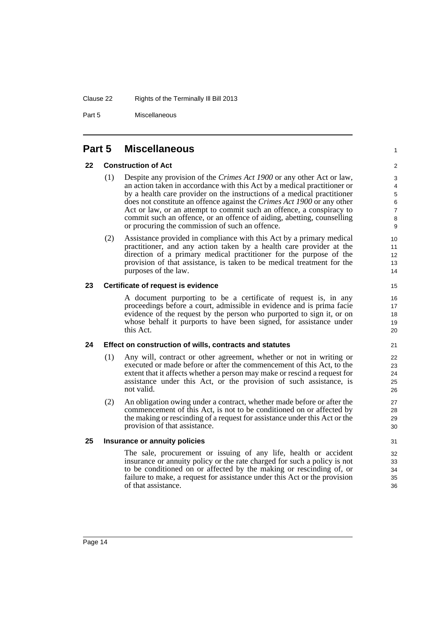#### Clause 22 Rights of the Terminally Ill Bill 2013

Part 5 Miscellaneous

### <span id="page-19-0"></span>**Part 5 Miscellaneous**

#### <span id="page-19-1"></span>**22 Construction of Act**

- (1) Despite any provision of the *Crimes Act 1900* or any other Act or law, an action taken in accordance with this Act by a medical practitioner or by a health care provider on the instructions of a medical practitioner does not constitute an offence against the *Crimes Act 1900* or any other Act or law, or an attempt to commit such an offence, a conspiracy to commit such an offence, or an offence of aiding, abetting, counselling or procuring the commission of such an offence.
- (2) Assistance provided in compliance with this Act by a primary medical practitioner, and any action taken by a health care provider at the direction of a primary medical practitioner for the purpose of the provision of that assistance, is taken to be medical treatment for the purposes of the law.

#### <span id="page-19-2"></span>**23 Certificate of request is evidence**

A document purporting to be a certificate of request is, in any proceedings before a court, admissible in evidence and is prima facie evidence of the request by the person who purported to sign it, or on whose behalf it purports to have been signed, for assistance under this Act.

#### <span id="page-19-3"></span>**24 Effect on construction of wills, contracts and statutes**

- (1) Any will, contract or other agreement, whether or not in writing or executed or made before or after the commencement of this Act, to the extent that it affects whether a person may make or rescind a request for assistance under this Act, or the provision of such assistance, is not valid.
- (2) An obligation owing under a contract, whether made before or after the commencement of this Act, is not to be conditioned on or affected by the making or rescinding of a request for assistance under this Act or the provision of that assistance.

#### <span id="page-19-4"></span>**25 Insurance or annuity policies**

The sale, procurement or issuing of any life, health or accident insurance or annuity policy or the rate charged for such a policy is not to be conditioned on or affected by the making or rescinding of, or failure to make, a request for assistance under this Act or the provision of that assistance.

1

 $\overline{2}$ 3 4

14 15

16 17 18

> 29 30 31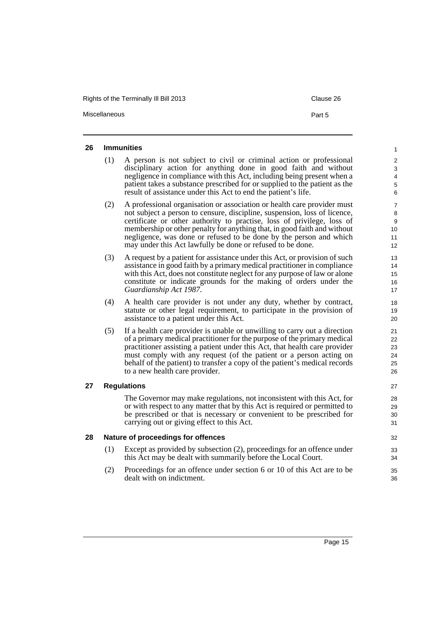Rights of the Terminally III Bill 2013 Clause 26

Miscellaneous **Part 5** 

#### <span id="page-20-0"></span>**26 Immunities**

- (1) A person is not subject to civil or criminal action or professional disciplinary action for anything done in good faith and without negligence in compliance with this Act, including being present when a patient takes a substance prescribed for or supplied to the patient as the result of assistance under this Act to end the patient's life.
- (2) A professional organisation or association or health care provider must not subject a person to censure, discipline, suspension, loss of licence, certificate or other authority to practise, loss of privilege, loss of membership or other penalty for anything that, in good faith and without negligence, was done or refused to be done by the person and which may under this Act lawfully be done or refused to be done.
- (3) A request by a patient for assistance under this Act, or provision of such assistance in good faith by a primary medical practitioner in compliance with this Act, does not constitute neglect for any purpose of law or alone constitute or indicate grounds for the making of orders under the *Guardianship Act 1987*.
- (4) A health care provider is not under any duty, whether by contract, statute or other legal requirement, to participate in the provision of assistance to a patient under this Act.
- (5) If a health care provider is unable or unwilling to carry out a direction of a primary medical practitioner for the purpose of the primary medical practitioner assisting a patient under this Act, that health care provider must comply with any request (of the patient or a person acting on behalf of the patient) to transfer a copy of the patient's medical records to a new health care provider.

#### <span id="page-20-1"></span>**27 Regulations**

The Governor may make regulations, not inconsistent with this Act, for or with respect to any matter that by this Act is required or permitted to be prescribed or that is necessary or convenient to be prescribed for carrying out or giving effect to this Act.

#### <span id="page-20-2"></span>**28 Nature of proceedings for offences**

- (1) Except as provided by subsection (2), proceedings for an offence under this Act may be dealt with summarily before the Local Court.
- (2) Proceedings for an offence under section 6 or 10 of this Act are to be dealt with on indictment.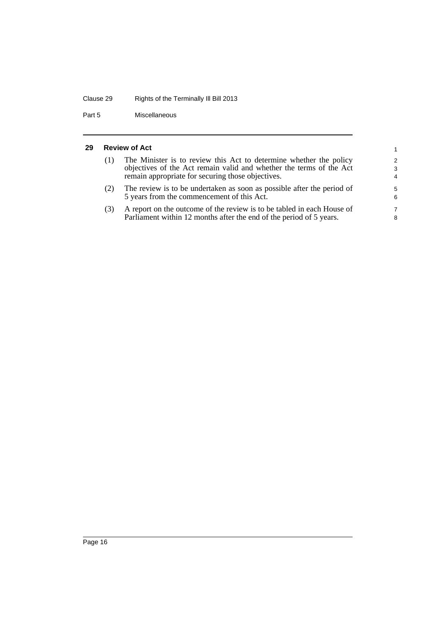## Clause 29 Rights of the Terminally Ill Bill 2013

Part 5 Miscellaneous

#### <span id="page-21-0"></span>**29 Review of Act**

| <b>Review of Act</b> |                                                                                                                                                                                                |                                      |
|----------------------|------------------------------------------------------------------------------------------------------------------------------------------------------------------------------------------------|--------------------------------------|
| (1)                  | The Minister is to review this Act to determine whether the policy<br>objectives of the Act remain valid and whether the terms of the Act<br>remain appropriate for securing those objectives. | $\mathcal{P}$<br>3<br>$\overline{4}$ |
| (2)                  | The review is to be undertaken as soon as possible after the period of<br>5 years from the commencement of this Act.                                                                           | 5<br>6                               |
| (3)                  | A report on the outcome of the review is to be tabled in each House of<br>Parliament within 12 months after the end of the period of 5 years.                                                  | 7<br>8                               |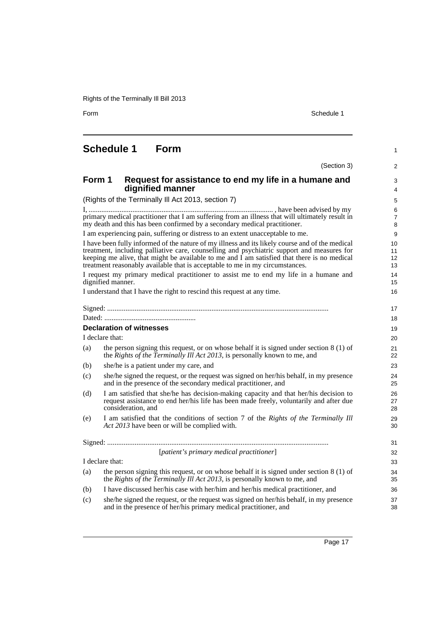Form Schedule 1

1

# <span id="page-22-0"></span>**Schedule 1 Form**

|        |                                                                                                                                                                                                                                                                                                                                                                              | (Section 3)<br>2         |
|--------|------------------------------------------------------------------------------------------------------------------------------------------------------------------------------------------------------------------------------------------------------------------------------------------------------------------------------------------------------------------------------|--------------------------|
| Form 1 | Request for assistance to end my life in a humane and<br>dignified manner                                                                                                                                                                                                                                                                                                    | 3<br>4                   |
|        | (Rights of the Terminally III Act 2013, section 7)                                                                                                                                                                                                                                                                                                                           | 5                        |
|        | primary medical practitioner that I am suffering from an illness that will ultimately result in<br>my death and this has been confirmed by a secondary medical practitioner.                                                                                                                                                                                                 | 6<br>$\overline{7}$<br>8 |
|        | I am experiencing pain, suffering or distress to an extent unacceptable to me.                                                                                                                                                                                                                                                                                               | 9                        |
|        | I have been fully informed of the nature of my illness and its likely course and of the medical<br>treatment, including palliative care, counselling and psychiatric support and measures for<br>keeping me alive, that might be available to me and I am satisfied that there is no medical<br>treatment reasonably available that is acceptable to me in my circumstances. | 10<br>11<br>12<br>13     |
|        | I request my primary medical practitioner to assist me to end my life in a humane and<br>dignified manner.                                                                                                                                                                                                                                                                   | 14<br>15                 |
|        | I understand that I have the right to rescind this request at any time.                                                                                                                                                                                                                                                                                                      | 16                       |
|        |                                                                                                                                                                                                                                                                                                                                                                              | 17                       |
|        |                                                                                                                                                                                                                                                                                                                                                                              | 18                       |
|        | <b>Declaration of witnesses</b>                                                                                                                                                                                                                                                                                                                                              | 19                       |
|        | I declare that:                                                                                                                                                                                                                                                                                                                                                              | 20                       |
| (a)    | the person signing this request, or on whose behalf it is signed under section $8(1)$ of<br>the Rights of the Terminally Ill Act 2013, is personally known to me, and                                                                                                                                                                                                        | 21<br>22                 |
| (b)    | she/he is a patient under my care, and                                                                                                                                                                                                                                                                                                                                       | 23                       |
| (c)    | she/he signed the request, or the request was signed on her/his behalf, in my presence<br>and in the presence of the secondary medical practitioner, and                                                                                                                                                                                                                     | 24<br>25                 |
| (d)    | I am satisfied that she/he has decision-making capacity and that her/his decision to<br>request assistance to end her/his life has been made freely, voluntarily and after due<br>consideration, and                                                                                                                                                                         | 26<br>27<br>28           |
| (e)    | I am satisfied that the conditions of section 7 of the Rights of the Terminally Ill<br>Act 2013 have been or will be complied with.                                                                                                                                                                                                                                          | 29<br>30                 |
|        |                                                                                                                                                                                                                                                                                                                                                                              | 31                       |
|        | [patient's primary medical practitioner]                                                                                                                                                                                                                                                                                                                                     | 32                       |
|        | I declare that:                                                                                                                                                                                                                                                                                                                                                              | 33                       |
| (a)    | the person signing this request, or on whose behalf it is signed under section 8 (1) of<br>the Rights of the Terminally Ill Act 2013, is personally known to me, and                                                                                                                                                                                                         | 34<br>35                 |
| (b)    | I have discussed her/his case with her/him and her/his medical practitioner, and                                                                                                                                                                                                                                                                                             | 36                       |
| (c)    | she/he signed the request, or the request was signed on her/his behalf, in my presence<br>and in the presence of her/his primary medical practitioner, and                                                                                                                                                                                                                   | 37<br>38                 |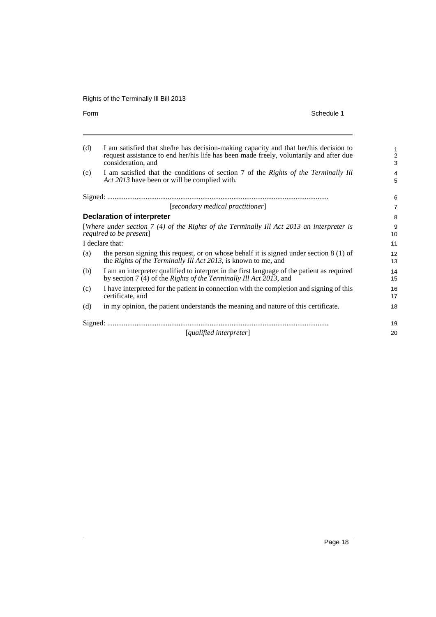Form Schedule 1

| (d) | I am satisfied that she/he has decision-making capacity and that her/his decision to<br>request assistance to end her/his life has been made freely, voluntarily and after due<br>consideration, and | $\mathbf{1}$<br>$\overline{c}$<br>3 |
|-----|------------------------------------------------------------------------------------------------------------------------------------------------------------------------------------------------------|-------------------------------------|
| (e) | I am satisfied that the conditions of section 7 of the Rights of the Terminally Ill<br>Act 2013 have been or will be complied with.                                                                  | 4<br>5                              |
|     |                                                                                                                                                                                                      | 6                                   |
|     | [secondary medical practitioner]                                                                                                                                                                     | $\overline{7}$                      |
|     | <b>Declaration of interpreter</b>                                                                                                                                                                    | 8                                   |
|     | [Where under section $7(4)$ of the Rights of the Terminally Ill Act 2013 an interpreter is<br>required to be present]                                                                                | 9<br>10                             |
|     | I declare that:                                                                                                                                                                                      | 11                                  |
| (a) | the person signing this request, or on whose behalf it is signed under section $8(1)$ of<br>the Rights of the Terminally Ill Act 2013, is known to me, and                                           | 12<br>13                            |
| (b) | I am an interpreter qualified to interpret in the first language of the patient as required<br>by section 7 (4) of the Rights of the Terminally Ill Act 2013, and                                    | 14<br>15                            |
| (c) | I have interpreted for the patient in connection with the completion and signing of this<br>certificate, and                                                                                         | 16<br>17                            |
| (d) | in my opinion, the patient understands the meaning and nature of this certificate.                                                                                                                   | 18                                  |
|     |                                                                                                                                                                                                      | 19                                  |
|     | [qualified interpreter]                                                                                                                                                                              | 20                                  |
|     |                                                                                                                                                                                                      |                                     |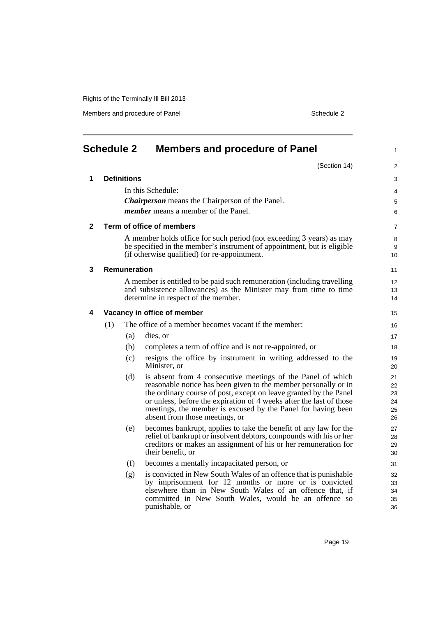Members and procedure of Panel Schedule 2

<span id="page-24-0"></span>

|              | <b>Schedule 2</b> |                     | <b>Members and procedure of Panel</b>                                                                                                  | $\mathbf{1}$    |
|--------------|-------------------|---------------------|----------------------------------------------------------------------------------------------------------------------------------------|-----------------|
|              |                   |                     | (Section 14)                                                                                                                           | $\overline{2}$  |
| 1            |                   | <b>Definitions</b>  |                                                                                                                                        | 3               |
|              |                   |                     | In this Schedule:                                                                                                                      | 4               |
|              |                   |                     | <b>Chairperson</b> means the Chairperson of the Panel.                                                                                 | 5               |
|              |                   |                     | <i>member</i> means a member of the Panel.                                                                                             | 6               |
| $\mathbf{2}$ |                   |                     | Term of office of members                                                                                                              | $\overline{7}$  |
|              |                   |                     | A member holds office for such period (not exceeding 3 years) as may                                                                   | 8               |
|              |                   |                     | be specified in the member's instrument of appointment, but is eligible                                                                | 9               |
|              |                   |                     | (if otherwise qualified) for re-appointment.                                                                                           | 10 <sup>1</sup> |
| 3            |                   | <b>Remuneration</b> |                                                                                                                                        | 11              |
|              |                   |                     | A member is entitled to be paid such remuneration (including travelling                                                                | 12              |
|              |                   |                     | and subsistence allowances) as the Minister may from time to time<br>determine in respect of the member.                               | 13              |
|              |                   |                     |                                                                                                                                        | 14              |
| 4            |                   |                     | Vacancy in office of member                                                                                                            | 15              |
|              | (1)               |                     | The office of a member becomes vacant if the member:                                                                                   | 16              |
|              |                   | (a)                 | dies, or                                                                                                                               | 17              |
|              |                   | (b)                 | completes a term of office and is not re-appointed, or                                                                                 | 18              |
|              |                   | (c)                 | resigns the office by instrument in writing addressed to the                                                                           | 19              |
|              |                   |                     | Minister, or                                                                                                                           | 20              |
|              |                   | (d)                 | is absent from 4 consecutive meetings of the Panel of which                                                                            | 21              |
|              |                   |                     | reasonable notice has been given to the member personally or in<br>the ordinary course of post, except on leave granted by the Panel   | 22<br>23        |
|              |                   |                     | or unless, before the expiration of 4 weeks after the last of those                                                                    | 24              |
|              |                   |                     | meetings, the member is excused by the Panel for having been                                                                           | 25              |
|              |                   |                     | absent from those meetings, or                                                                                                         | 26              |
|              |                   | (e)                 | becomes bankrupt, applies to take the benefit of any law for the<br>relief of bankrupt or insolvent debtors, compounds with his or her | 27<br>28        |
|              |                   |                     | creditors or makes an assignment of his or her remuneration for                                                                        | 29              |
|              |                   |                     | their benefit, or                                                                                                                      | 30              |
|              |                   | (f)                 | becomes a mentally incapacitated person, or                                                                                            | 31              |
|              |                   | (g)                 | is convicted in New South Wales of an offence that is punishable                                                                       | 32              |
|              |                   |                     | by imprisonment for 12 months or more or is convicted<br>elsewhere than in New South Wales of an offence that, if                      | 33<br>34        |
|              |                   |                     | committed in New South Wales, would be an offence so                                                                                   | 35              |
|              |                   |                     | punishable, or                                                                                                                         | 36              |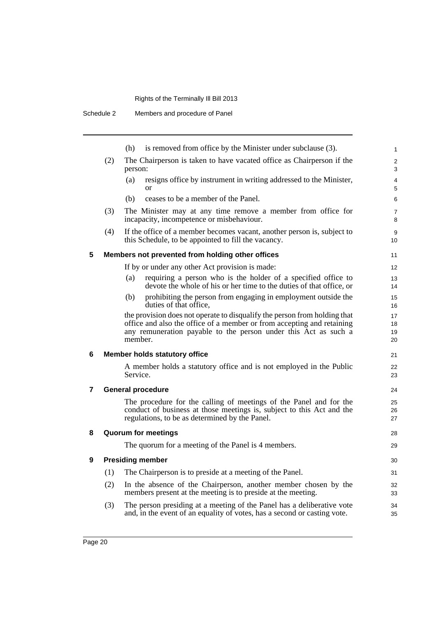|   |     | is removed from office by the Minister under subclause (3).<br>(h)                                                                                                                                                                | 1                    |  |
|---|-----|-----------------------------------------------------------------------------------------------------------------------------------------------------------------------------------------------------------------------------------|----------------------|--|
|   | (2) | The Chairperson is taken to have vacated office as Chairperson if the<br>person:                                                                                                                                                  |                      |  |
|   |     | resigns office by instrument in writing addressed to the Minister,<br>(a)<br><sub>or</sub>                                                                                                                                        | 4<br>5               |  |
|   |     | ceases to be a member of the Panel.<br>(b)                                                                                                                                                                                        | 6                    |  |
|   | (3) | The Minister may at any time remove a member from office for<br>incapacity, incompetence or misbehaviour.                                                                                                                         | 7<br>8               |  |
|   | (4) | If the office of a member becomes vacant, another person is, subject to<br>this Schedule, to be appointed to fill the vacancy.                                                                                                    | 9<br>10              |  |
| 5 |     | Members not prevented from holding other offices                                                                                                                                                                                  | 11                   |  |
|   |     | If by or under any other Act provision is made:                                                                                                                                                                                   | 12                   |  |
|   |     | requiring a person who is the holder of a specified office to<br>(a)<br>devote the whole of his or her time to the duties of that office, or                                                                                      | 13<br>14             |  |
|   |     | (b)<br>prohibiting the person from engaging in employment outside the<br>duties of that office,                                                                                                                                   | 15<br>16             |  |
|   |     | the provision does not operate to disqualify the person from holding that<br>office and also the office of a member or from accepting and retaining<br>any remuneration payable to the person under this Act as such a<br>member. | 17<br>18<br>19<br>20 |  |
| 6 |     | <b>Member holds statutory office</b>                                                                                                                                                                                              | 21                   |  |
|   |     | A member holds a statutory office and is not employed in the Public<br>Service.                                                                                                                                                   | 22<br>23             |  |
| 7 |     | <b>General procedure</b>                                                                                                                                                                                                          | 24                   |  |
|   |     | The procedure for the calling of meetings of the Panel and for the<br>conduct of business at those meetings is, subject to this Act and the<br>regulations, to be as determined by the Panel.                                     | 25<br>26<br>27       |  |
| 8 |     | <b>Quorum for meetings</b>                                                                                                                                                                                                        | 28                   |  |
|   |     | The quorum for a meeting of the Panel is 4 members.                                                                                                                                                                               | 29                   |  |
| 9 |     | <b>Presiding member</b>                                                                                                                                                                                                           | 30                   |  |
|   | (1) | The Chairperson is to preside at a meeting of the Panel.                                                                                                                                                                          | 31                   |  |
|   | (2) | In the absence of the Chairperson, another member chosen by the<br>members present at the meeting is to preside at the meeting.                                                                                                   | 32<br>33             |  |
|   | (3) | The person presiding at a meeting of the Panel has a deliberative vote<br>and, in the event of an equality of votes, has a second or casting vote.                                                                                | 34<br>35             |  |
|   |     |                                                                                                                                                                                                                                   |                      |  |